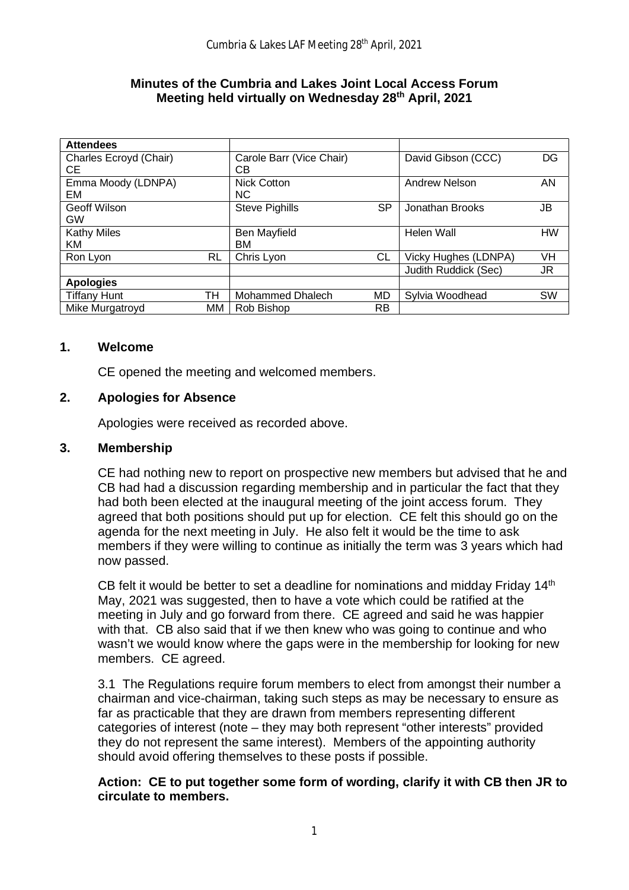#### **Minutes of the Cumbria and Lakes Joint Local Access Forum Meeting held virtually on Wednesday 28th April, 2021**

| <b>Attendees</b>       |    |                          |           |                      |    |
|------------------------|----|--------------------------|-----------|----------------------|----|
| Charles Ecroyd (Chair) |    | Carole Barr (Vice Chair) |           | David Gibson (CCC)   | DG |
| CE                     |    | <b>CB</b>                |           |                      |    |
| Emma Moody (LDNPA)     |    | <b>Nick Cotton</b>       |           | Andrew Nelson        | AN |
| EM                     |    | NC.                      |           |                      |    |
| <b>Geoff Wilson</b>    |    | <b>Steve Pighills</b>    | <b>SP</b> | Jonathan Brooks      | JB |
| GW                     |    |                          |           |                      |    |
| <b>Kathy Miles</b>     |    | Ben Mayfield             |           | Helen Wall           | HW |
| <b>KM</b>              |    | ВM                       |           |                      |    |
| Ron Lyon               | RL | Chris Lyon               | СL        | Vicky Hughes (LDNPA) | VH |
|                        |    |                          |           | Judith Ruddick (Sec) | JR |
| <b>Apologies</b>       |    |                          |           |                      |    |
| <b>Tiffany Hunt</b>    | тн | <b>Mohammed Dhalech</b>  | MD        | Sylvia Woodhead      | SW |
| Mike Murgatroyd        | MМ | Rob Bishop               | <b>RB</b> |                      |    |

### **1. Welcome**

CE opened the meeting and welcomed members.

# **2. Apologies for Absence**

Apologies were received as recorded above.

### **3. Membership**

CE had nothing new to report on prospective new members but advised that he and CB had had a discussion regarding membership and in particular the fact that they had both been elected at the inaugural meeting of the joint access forum. They agreed that both positions should put up for election. CE felt this should go on the agenda for the next meeting in July. He also felt it would be the time to ask members if they were willing to continue as initially the term was 3 years which had now passed.

CB felt it would be better to set a deadline for nominations and midday Friday 14<sup>th</sup> May, 2021 was suggested, then to have a vote which could be ratified at the meeting in July and go forward from there. CE agreed and said he was happier with that. CB also said that if we then knew who was going to continue and who wasn't we would know where the gaps were in the membership for looking for new members. CE agreed.

3.1 The Regulations require forum members to elect from amongst their number a chairman and vice-chairman, taking such steps as may be necessary to ensure as far as practicable that they are drawn from members representing different categories of interest (note – they may both represent "other interests" provided they do not represent the same interest). Members of the appointing authority should avoid offering themselves to these posts if possible.

## **Action: CE to put together some form of wording, clarify it with CB then JR to circulate to members.**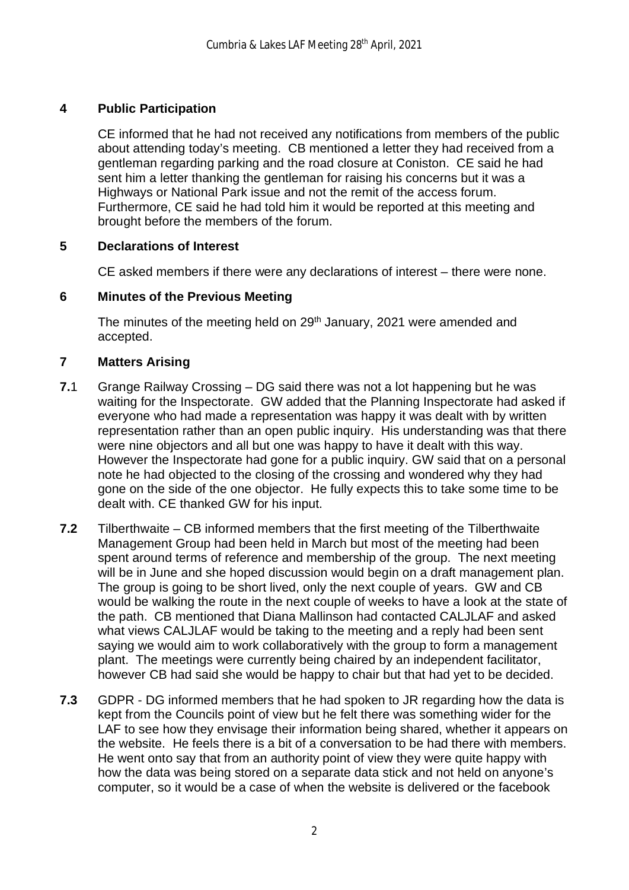# **4 Public Participation**

CE informed that he had not received any notifications from members of the public about attending today's meeting. CB mentioned a letter they had received from a gentleman regarding parking and the road closure at Coniston. CE said he had sent him a letter thanking the gentleman for raising his concerns but it was a Highways or National Park issue and not the remit of the access forum. Furthermore, CE said he had told him it would be reported at this meeting and brought before the members of the forum.

## **5 Declarations of Interest**

CE asked members if there were any declarations of interest – there were none.

## **6 Minutes of the Previous Meeting**

The minutes of the meeting held on 29<sup>th</sup> January, 2021 were amended and accepted.

# **7 Matters Arising**

- **7.**1 Grange Railway Crossing DG said there was not a lot happening but he was waiting for the Inspectorate. GW added that the Planning Inspectorate had asked if everyone who had made a representation was happy it was dealt with by written representation rather than an open public inquiry. His understanding was that there were nine objectors and all but one was happy to have it dealt with this way. However the Inspectorate had gone for a public inquiry. GW said that on a personal note he had objected to the closing of the crossing and wondered why they had gone on the side of the one objector. He fully expects this to take some time to be dealt with. CE thanked GW for his input.
- **7.2** Tilberthwaite CB informed members that the first meeting of the Tilberthwaite Management Group had been held in March but most of the meeting had been spent around terms of reference and membership of the group. The next meeting will be in June and she hoped discussion would begin on a draft management plan. The group is going to be short lived, only the next couple of years. GW and CB would be walking the route in the next couple of weeks to have a look at the state of the path. CB mentioned that Diana Mallinson had contacted CALJLAF and asked what views CALJLAF would be taking to the meeting and a reply had been sent saying we would aim to work collaboratively with the group to form a management plant. The meetings were currently being chaired by an independent facilitator, however CB had said she would be happy to chair but that had yet to be decided.
- **7.3** GDPR DG informed members that he had spoken to JR regarding how the data is kept from the Councils point of view but he felt there was something wider for the LAF to see how they envisage their information being shared, whether it appears on the website. He feels there is a bit of a conversation to be had there with members. He went onto say that from an authority point of view they were quite happy with how the data was being stored on a separate data stick and not held on anyone's computer, so it would be a case of when the website is delivered or the facebook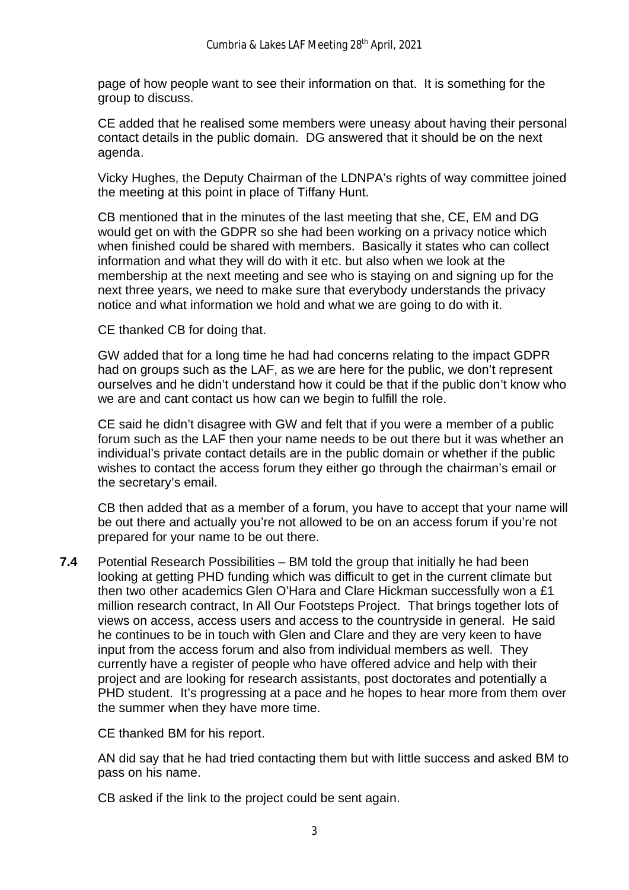page of how people want to see their information on that. It is something for the group to discuss.

CE added that he realised some members were uneasy about having their personal contact details in the public domain. DG answered that it should be on the next agenda.

 Vicky Hughes, the Deputy Chairman of the LDNPA's rights of way committee joined the meeting at this point in place of Tiffany Hunt.

 CB mentioned that in the minutes of the last meeting that she, CE, EM and DG would get on with the GDPR so she had been working on a privacy notice which when finished could be shared with members. Basically it states who can collect information and what they will do with it etc. but also when we look at the membership at the next meeting and see who is staying on and signing up for the next three years, we need to make sure that everybody understands the privacy notice and what information we hold and what we are going to do with it.

CE thanked CB for doing that.

 GW added that for a long time he had had concerns relating to the impact GDPR had on groups such as the LAF, as we are here for the public, we don't represent ourselves and he didn't understand how it could be that if the public don't know who we are and cant contact us how can we begin to fulfill the role.

 CE said he didn't disagree with GW and felt that if you were a member of a public forum such as the LAF then your name needs to be out there but it was whether an individual's private contact details are in the public domain or whether if the public wishes to contact the access forum they either go through the chairman's email or the secretary's email.

 CB then added that as a member of a forum, you have to accept that your name will be out there and actually you're not allowed to be on an access forum if you're not prepared for your name to be out there.

**7.4** Potential Research Possibilities – BM told the group that initially he had been looking at getting PHD funding which was difficult to get in the current climate but then two other academics Glen O'Hara and Clare Hickman successfully won a £1 million research contract, In All Our Footsteps Project. That brings together lots of views on access, access users and access to the countryside in general. He said he continues to be in touch with Glen and Clare and they are very keen to have input from the access forum and also from individual members as well. They currently have a register of people who have offered advice and help with their project and are looking for research assistants, post doctorates and potentially a PHD student. It's progressing at a pace and he hopes to hear more from them over the summer when they have more time.

CE thanked BM for his report.

 AN did say that he had tried contacting them but with little success and asked BM to pass on his name.

CB asked if the link to the project could be sent again.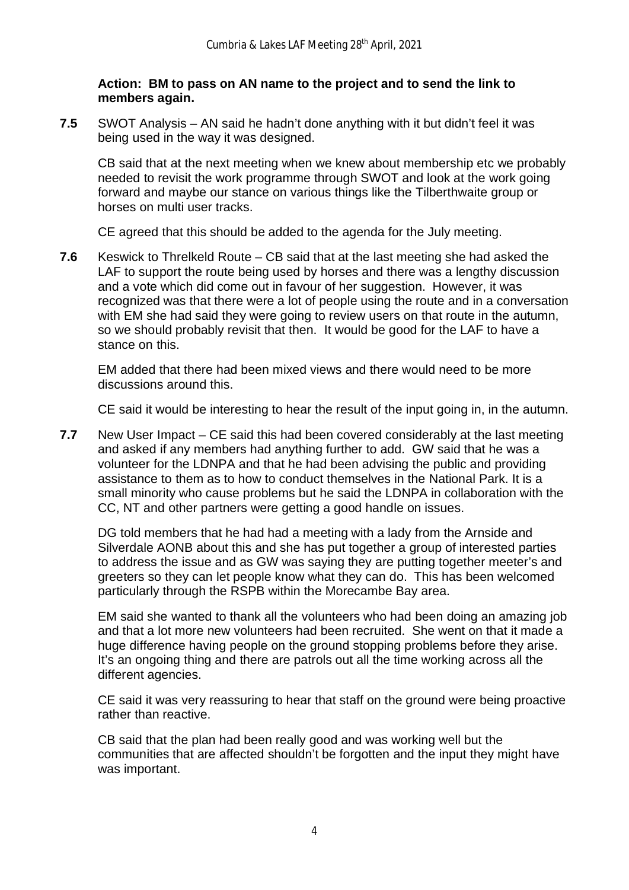### **Action: BM to pass on AN name to the project and to send the link to members again.**

**7.5** SWOT Analysis – AN said he hadn't done anything with it but didn't feel it was being used in the way it was designed.

CB said that at the next meeting when we knew about membership etc we probably needed to revisit the work programme through SWOT and look at the work going forward and maybe our stance on various things like the Tilberthwaite group or horses on multi user tracks.

CE agreed that this should be added to the agenda for the July meeting.

**7.6** Keswick to Threlkeld Route – CB said that at the last meeting she had asked the LAF to support the route being used by horses and there was a lengthy discussion and a vote which did come out in favour of her suggestion. However, it was recognized was that there were a lot of people using the route and in a conversation with EM she had said they were going to review users on that route in the autumn, so we should probably revisit that then. It would be good for the LAF to have a stance on this.

EM added that there had been mixed views and there would need to be more discussions around this.

CE said it would be interesting to hear the result of the input going in, in the autumn.

**7.7** New User Impact – CE said this had been covered considerably at the last meeting and asked if any members had anything further to add. GW said that he was a volunteer for the LDNPA and that he had been advising the public and providing assistance to them as to how to conduct themselves in the National Park. It is a small minority who cause problems but he said the LDNPA in collaboration with the CC, NT and other partners were getting a good handle on issues.

DG told members that he had had a meeting with a lady from the Arnside and Silverdale AONB about this and she has put together a group of interested parties to address the issue and as GW was saying they are putting together meeter's and greeters so they can let people know what they can do. This has been welcomed particularly through the RSPB within the Morecambe Bay area.

 EM said she wanted to thank all the volunteers who had been doing an amazing job and that a lot more new volunteers had been recruited. She went on that it made a huge difference having people on the ground stopping problems before they arise. It's an ongoing thing and there are patrols out all the time working across all the different agencies.

 CE said it was very reassuring to hear that staff on the ground were being proactive rather than reactive.

 CB said that the plan had been really good and was working well but the communities that are affected shouldn't be forgotten and the input they might have was important.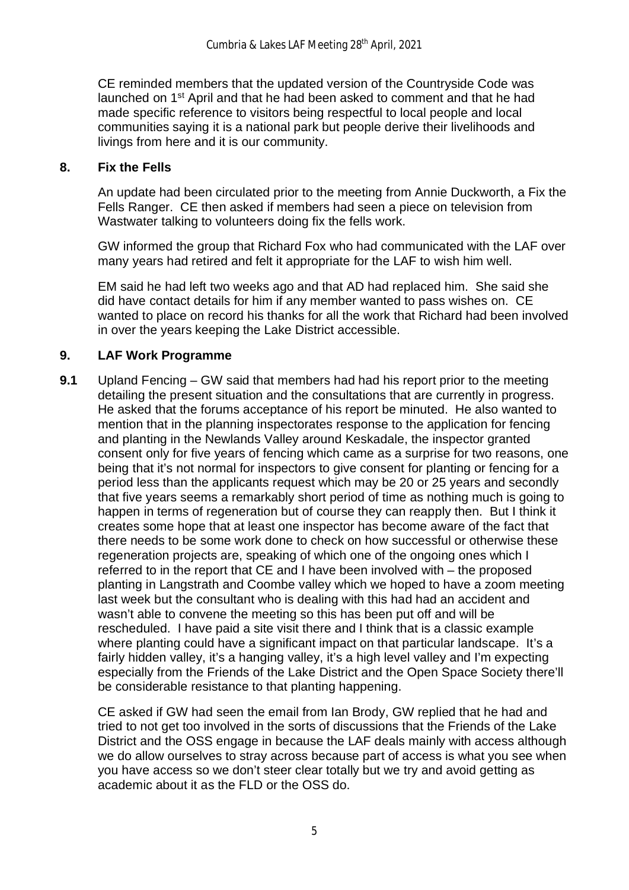CE reminded members that the updated version of the Countryside Code was launched on 1<sup>st</sup> April and that he had been asked to comment and that he had made specific reference to visitors being respectful to local people and local communities saying it is a national park but people derive their livelihoods and livings from here and it is our community.

### **8. Fix the Fells**

An update had been circulated prior to the meeting from Annie Duckworth, a Fix the Fells Ranger. CE then asked if members had seen a piece on television from Wastwater talking to volunteers doing fix the fells work.

 GW informed the group that Richard Fox who had communicated with the LAF over many years had retired and felt it appropriate for the LAF to wish him well.

 EM said he had left two weeks ago and that AD had replaced him. She said she did have contact details for him if any member wanted to pass wishes on. CE wanted to place on record his thanks for all the work that Richard had been involved in over the years keeping the Lake District accessible.

## **9. LAF Work Programme**

**9.1** Upland Fencing – GW said that members had had his report prior to the meeting detailing the present situation and the consultations that are currently in progress. He asked that the forums acceptance of his report be minuted. He also wanted to mention that in the planning inspectorates response to the application for fencing and planting in the Newlands Valley around Keskadale, the inspector granted consent only for five years of fencing which came as a surprise for two reasons, one being that it's not normal for inspectors to give consent for planting or fencing for a period less than the applicants request which may be 20 or 25 years and secondly that five years seems a remarkably short period of time as nothing much is going to happen in terms of regeneration but of course they can reapply then. But I think it creates some hope that at least one inspector has become aware of the fact that there needs to be some work done to check on how successful or otherwise these regeneration projects are, speaking of which one of the ongoing ones which I referred to in the report that CE and I have been involved with – the proposed planting in Langstrath and Coombe valley which we hoped to have a zoom meeting last week but the consultant who is dealing with this had had an accident and wasn't able to convene the meeting so this has been put off and will be rescheduled. I have paid a site visit there and I think that is a classic example where planting could have a significant impact on that particular landscape. It's a fairly hidden valley, it's a hanging valley, it's a high level valley and I'm expecting especially from the Friends of the Lake District and the Open Space Society there'll be considerable resistance to that planting happening.

CE asked if GW had seen the email from Ian Brody, GW replied that he had and tried to not get too involved in the sorts of discussions that the Friends of the Lake District and the OSS engage in because the LAF deals mainly with access although we do allow ourselves to stray across because part of access is what you see when you have access so we don't steer clear totally but we try and avoid getting as academic about it as the FLD or the OSS do.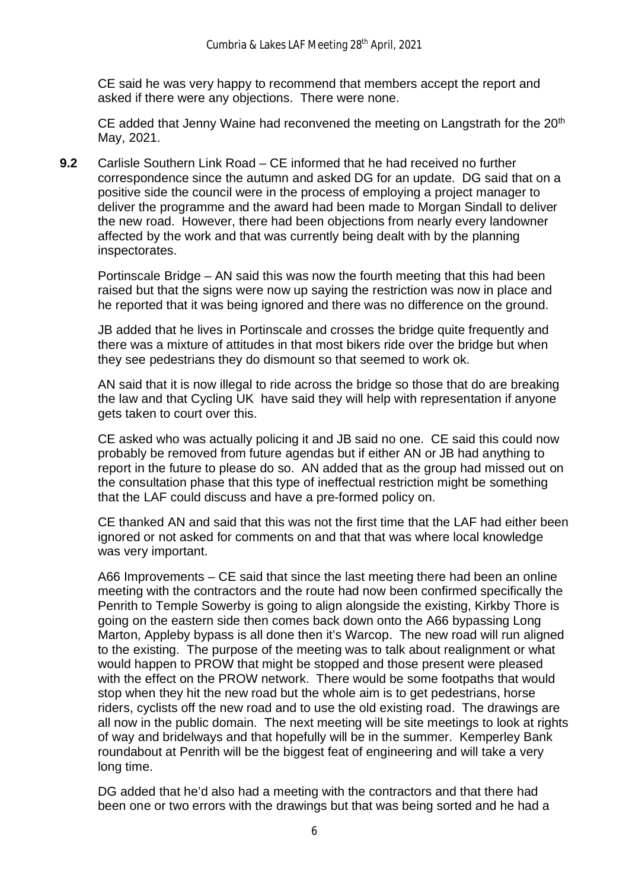CE said he was very happy to recommend that members accept the report and asked if there were any objections. There were none.

CE added that Jenny Waine had reconvened the meeting on Langstrath for the 20<sup>th</sup> May, 2021.

**9.2** Carlisle Southern Link Road – CE informed that he had received no further correspondence since the autumn and asked DG for an update. DG said that on a positive side the council were in the process of employing a project manager to deliver the programme and the award had been made to Morgan Sindall to deliver the new road. However, there had been objections from nearly every landowner affected by the work and that was currently being dealt with by the planning inspectorates.

Portinscale Bridge – AN said this was now the fourth meeting that this had been raised but that the signs were now up saying the restriction was now in place and he reported that it was being ignored and there was no difference on the ground.

JB added that he lives in Portinscale and crosses the bridge quite frequently and there was a mixture of attitudes in that most bikers ride over the bridge but when they see pedestrians they do dismount so that seemed to work ok.

AN said that it is now illegal to ride across the bridge so those that do are breaking the law and that Cycling UK have said they will help with representation if anyone gets taken to court over this.

CE asked who was actually policing it and JB said no one. CE said this could now probably be removed from future agendas but if either AN or JB had anything to report in the future to please do so. AN added that as the group had missed out on the consultation phase that this type of ineffectual restriction might be something that the LAF could discuss and have a pre-formed policy on.

CE thanked AN and said that this was not the first time that the LAF had either been ignored or not asked for comments on and that that was where local knowledge was very important.

A66 Improvements – CE said that since the last meeting there had been an online meeting with the contractors and the route had now been confirmed specifically the Penrith to Temple Sowerby is going to align alongside the existing, Kirkby Thore is going on the eastern side then comes back down onto the A66 bypassing Long Marton, Appleby bypass is all done then it's Warcop. The new road will run aligned to the existing. The purpose of the meeting was to talk about realignment or what would happen to PROW that might be stopped and those present were pleased with the effect on the PROW network. There would be some footpaths that would stop when they hit the new road but the whole aim is to get pedestrians, horse riders, cyclists off the new road and to use the old existing road. The drawings are all now in the public domain. The next meeting will be site meetings to look at rights of way and bridelways and that hopefully will be in the summer. Kemperley Bank roundabout at Penrith will be the biggest feat of engineering and will take a very long time.

DG added that he'd also had a meeting with the contractors and that there had been one or two errors with the drawings but that was being sorted and he had a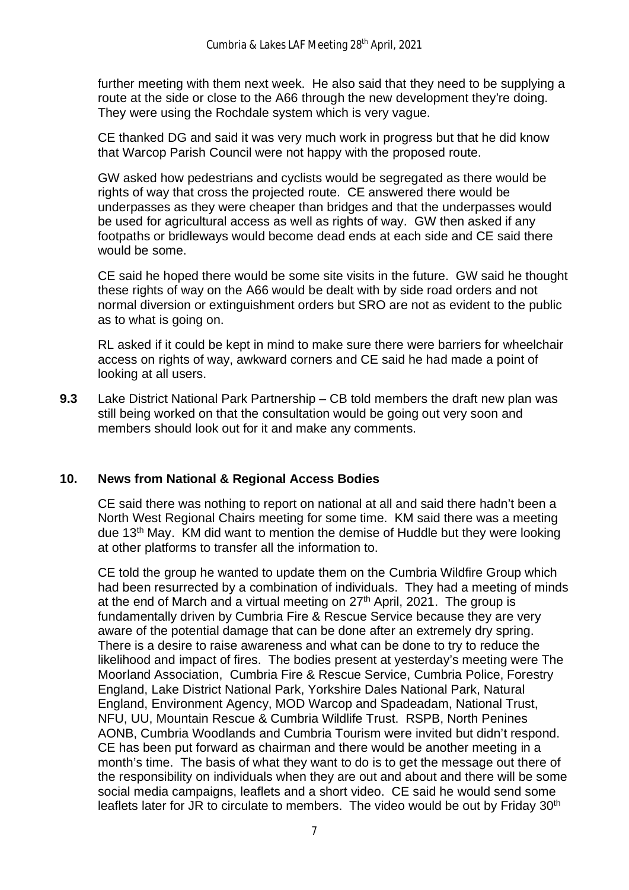further meeting with them next week. He also said that they need to be supplying a route at the side or close to the A66 through the new development they're doing. They were using the Rochdale system which is very vague.

CE thanked DG and said it was very much work in progress but that he did know that Warcop Parish Council were not happy with the proposed route.

GW asked how pedestrians and cyclists would be segregated as there would be rights of way that cross the projected route. CE answered there would be underpasses as they were cheaper than bridges and that the underpasses would be used for agricultural access as well as rights of way. GW then asked if any footpaths or bridleways would become dead ends at each side and CE said there would be some.

CE said he hoped there would be some site visits in the future. GW said he thought these rights of way on the A66 would be dealt with by side road orders and not normal diversion or extinguishment orders but SRO are not as evident to the public as to what is going on.

RL asked if it could be kept in mind to make sure there were barriers for wheelchair access on rights of way, awkward corners and CE said he had made a point of looking at all users.

**9.3** Lake District National Park Partnership – CB told members the draft new plan was still being worked on that the consultation would be going out very soon and members should look out for it and make any comments.

### **10. News from National & Regional Access Bodies**

CE said there was nothing to report on national at all and said there hadn't been a North West Regional Chairs meeting for some time. KM said there was a meeting due 13th May. KM did want to mention the demise of Huddle but they were looking at other platforms to transfer all the information to.

 CE told the group he wanted to update them on the Cumbria Wildfire Group which had been resurrected by a combination of individuals. They had a meeting of minds at the end of March and a virtual meeting on  $27<sup>th</sup>$  April, 2021. The group is fundamentally driven by Cumbria Fire & Rescue Service because they are very aware of the potential damage that can be done after an extremely dry spring. There is a desire to raise awareness and what can be done to try to reduce the likelihood and impact of fires. The bodies present at yesterday's meeting were The Moorland Association, Cumbria Fire & Rescue Service, Cumbria Police, Forestry England, Lake District National Park, Yorkshire Dales National Park, Natural England, Environment Agency, MOD Warcop and Spadeadam, National Trust, NFU, UU, Mountain Rescue & Cumbria Wildlife Trust. RSPB, North Penines AONB, Cumbria Woodlands and Cumbria Tourism were invited but didn't respond. CE has been put forward as chairman and there would be another meeting in a month's time. The basis of what they want to do is to get the message out there of the responsibility on individuals when they are out and about and there will be some social media campaigns, leaflets and a short video. CE said he would send some leaflets later for JR to circulate to members. The video would be out by Friday 30<sup>th</sup>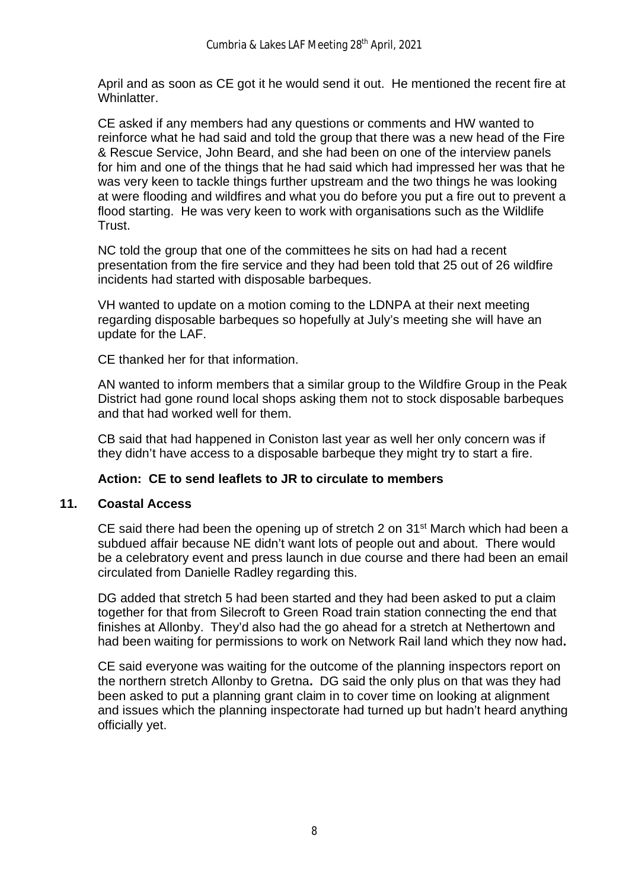April and as soon as CE got it he would send it out. He mentioned the recent fire at Whinlatter.

 CE asked if any members had any questions or comments and HW wanted to reinforce what he had said and told the group that there was a new head of the Fire & Rescue Service, John Beard, and she had been on one of the interview panels for him and one of the things that he had said which had impressed her was that he was very keen to tackle things further upstream and the two things he was looking at were flooding and wildfires and what you do before you put a fire out to prevent a flood starting. He was very keen to work with organisations such as the Wildlife Trust.

 NC told the group that one of the committees he sits on had had a recent presentation from the fire service and they had been told that 25 out of 26 wildfire incidents had started with disposable barbeques.

 VH wanted to update on a motion coming to the LDNPA at their next meeting regarding disposable barbeques so hopefully at July's meeting she will have an update for the LAF.

CE thanked her for that information.

 AN wanted to inform members that a similar group to the Wildfire Group in the Peak District had gone round local shops asking them not to stock disposable barbeques and that had worked well for them.

 CB said that had happened in Coniston last year as well her only concern was if they didn't have access to a disposable barbeque they might try to start a fire.

### **Action: CE to send leaflets to JR to circulate to members**

#### **11. Coastal Access**

CE said there had been the opening up of stretch 2 on 31<sup>st</sup> March which had been a subdued affair because NE didn't want lots of people out and about. There would be a celebratory event and press launch in due course and there had been an email circulated from Danielle Radley regarding this.

 DG added that stretch 5 had been started and they had been asked to put a claim together for that from Silecroft to Green Road train station connecting the end that finishes at Allonby. They'd also had the go ahead for a stretch at Nethertown and had been waiting for permissions to work on Network Rail land which they now had**.**

 CE said everyone was waiting for the outcome of the planning inspectors report on the northern stretch Allonby to Gretna**.** DG said the only plus on that was they had been asked to put a planning grant claim in to cover time on looking at alignment and issues which the planning inspectorate had turned up but hadn't heard anything officially yet.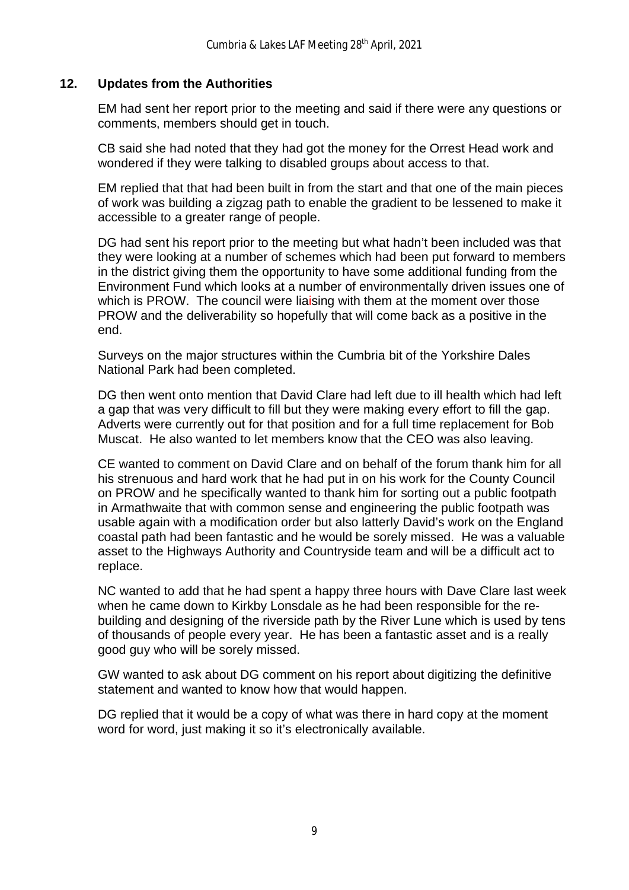## **12. Updates from the Authorities**

EM had sent her report prior to the meeting and said if there were any questions or comments, members should get in touch.

CB said she had noted that they had got the money for the Orrest Head work and wondered if they were talking to disabled groups about access to that.

EM replied that that had been built in from the start and that one of the main pieces of work was building a zigzag path to enable the gradient to be lessened to make it accessible to a greater range of people.

DG had sent his report prior to the meeting but what hadn't been included was that they were looking at a number of schemes which had been put forward to members in the district giving them the opportunity to have some additional funding from the Environment Fund which looks at a number of environmentally driven issues one of which is PROW. The council were liaising with them at the moment over those PROW and the deliverability so hopefully that will come back as a positive in the end.

Surveys on the major structures within the Cumbria bit of the Yorkshire Dales National Park had been completed.

DG then went onto mention that David Clare had left due to ill health which had left a gap that was very difficult to fill but they were making every effort to fill the gap. Adverts were currently out for that position and for a full time replacement for Bob Muscat. He also wanted to let members know that the CEO was also leaving.

CE wanted to comment on David Clare and on behalf of the forum thank him for all his strenuous and hard work that he had put in on his work for the County Council on PROW and he specifically wanted to thank him for sorting out a public footpath in Armathwaite that with common sense and engineering the public footpath was usable again with a modification order but also latterly David's work on the England coastal path had been fantastic and he would be sorely missed. He was a valuable asset to the Highways Authority and Countryside team and will be a difficult act to replace.

NC wanted to add that he had spent a happy three hours with Dave Clare last week when he came down to Kirkby Lonsdale as he had been responsible for the rebuilding and designing of the riverside path by the River Lune which is used by tens of thousands of people every year. He has been a fantastic asset and is a really good guy who will be sorely missed.

GW wanted to ask about DG comment on his report about digitizing the definitive statement and wanted to know how that would happen.

DG replied that it would be a copy of what was there in hard copy at the moment word for word, just making it so it's electronically available.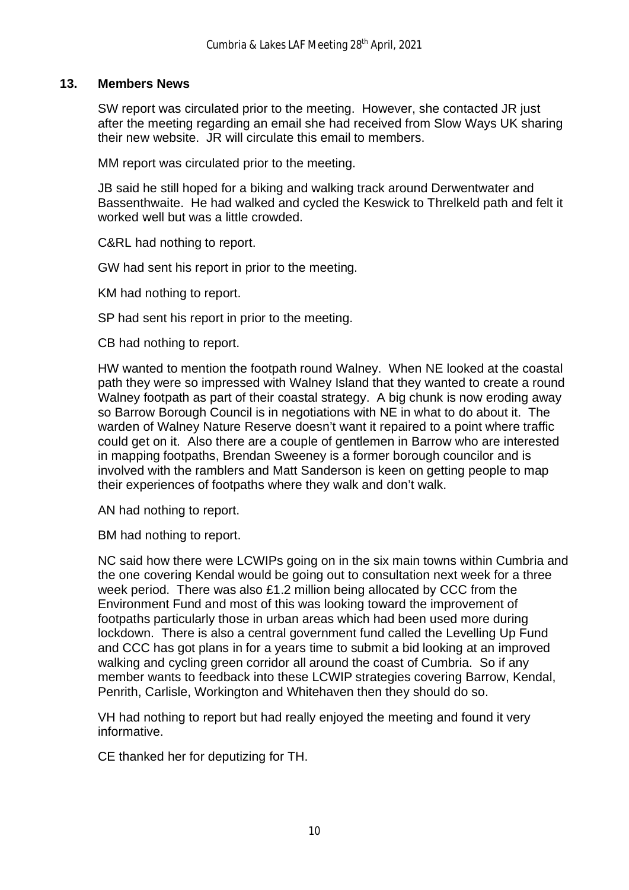### **13. Members News**

SW report was circulated prior to the meeting. However, she contacted JR just after the meeting regarding an email she had received from Slow Ways UK sharing their new website. JR will circulate this email to members.

MM report was circulated prior to the meeting.

JB said he still hoped for a biking and walking track around Derwentwater and Bassenthwaite. He had walked and cycled the Keswick to Threlkeld path and felt it worked well but was a little crowded.

C&RL had nothing to report.

GW had sent his report in prior to the meeting.

KM had nothing to report.

SP had sent his report in prior to the meeting.

CB had nothing to report.

HW wanted to mention the footpath round Walney. When NE looked at the coastal path they were so impressed with Walney Island that they wanted to create a round Walney footpath as part of their coastal strategy. A big chunk is now eroding away so Barrow Borough Council is in negotiations with NE in what to do about it. The warden of Walney Nature Reserve doesn't want it repaired to a point where traffic could get on it. Also there are a couple of gentlemen in Barrow who are interested in mapping footpaths, Brendan Sweeney is a former borough councilor and is involved with the ramblers and Matt Sanderson is keen on getting people to map their experiences of footpaths where they walk and don't walk.

AN had nothing to report.

BM had nothing to report.

NC said how there were LCWIPs going on in the six main towns within Cumbria and the one covering Kendal would be going out to consultation next week for a three week period. There was also £1.2 million being allocated by CCC from the Environment Fund and most of this was looking toward the improvement of footpaths particularly those in urban areas which had been used more during lockdown. There is also a central government fund called the Levelling Up Fund and CCC has got plans in for a years time to submit a bid looking at an improved walking and cycling green corridor all around the coast of Cumbria. So if any member wants to feedback into these LCWIP strategies covering Barrow, Kendal, Penrith, Carlisle, Workington and Whitehaven then they should do so.

VH had nothing to report but had really enjoyed the meeting and found it very informative.

CE thanked her for deputizing for TH.